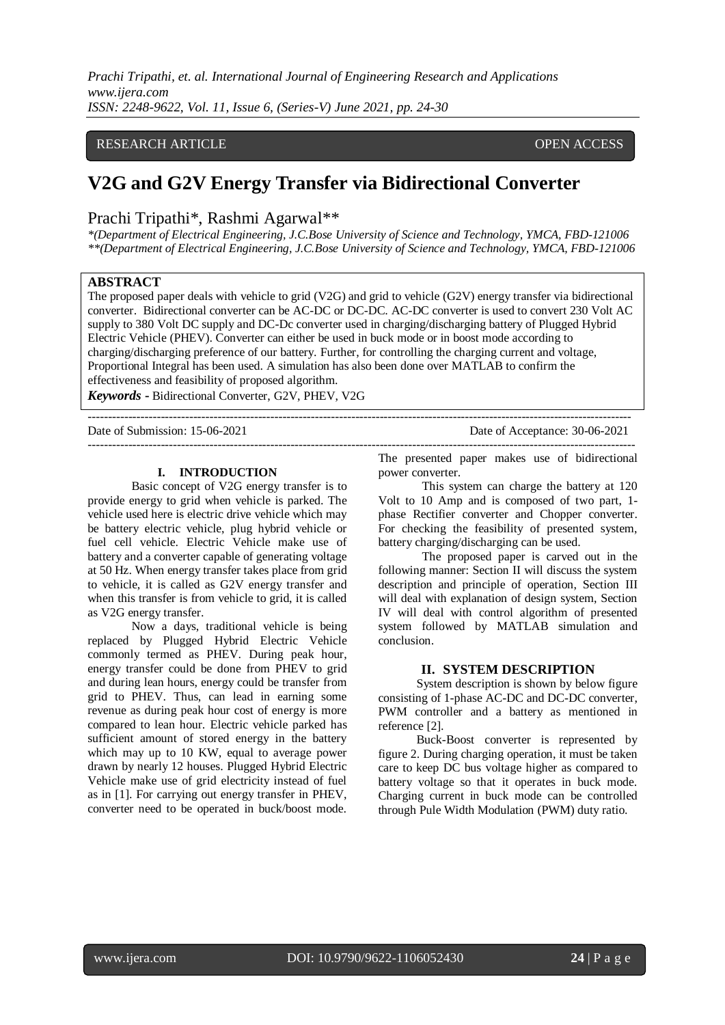# RESEARCH ARTICLE **CONSERVERS** OPEN ACCESS

# **V2G and G2V Energy Transfer via Bidirectional Converter**

# Prachi Tripathi\*, Rashmi Agarwal\*\*

*\*(Department of Electrical Engineering, J.C.Bose University of Science and Technology, YMCA, FBD-121006 \*\*(Department of Electrical Engineering, J.C.Bose University of Science and Technology, YMCA, FBD-121006*

# **ABSTRACT**

The proposed paper deals with vehicle to grid (V2G) and grid to vehicle (G2V) energy transfer via bidirectional converter. Bidirectional converter can be AC-DC or DC-DC. AC-DC converter is used to convert 230 Volt AC supply to 380 Volt DC supply and DC-Dc converter used in charging/discharging battery of Plugged Hybrid Electric Vehicle (PHEV). Converter can either be used in buck mode or in boost mode according to charging/discharging preference of our battery. Further, for controlling the charging current and voltage, Proportional Integral has been used. A simulation has also been done over MATLAB to confirm the effectiveness and feasibility of proposed algorithm.

--------------------------------------------------------------------------------------------------------------------------------------

---------------------------------------------------------------------------------------------------------------------------------------

*Keywords* **-** Bidirectional Converter, G2V, PHEV, V2G

Date of Submission: 15-06-2021 Date of Acceptance: 30-06-2021

#### **I. INTRODUCTION**

Basic concept of V2G energy transfer is to provide energy to grid when vehicle is parked. The vehicle used here is electric drive vehicle which may be battery electric vehicle, plug hybrid vehicle or fuel cell vehicle. Electric Vehicle make use of battery and a converter capable of generating voltage at 50 Hz. When energy transfer takes place from grid to vehicle, it is called as G2V energy transfer and when this transfer is from vehicle to grid, it is called as V2G energy transfer.

Now a days, traditional vehicle is being replaced by Plugged Hybrid Electric Vehicle commonly termed as PHEV. During peak hour, energy transfer could be done from PHEV to grid and during lean hours, energy could be transfer from grid to PHEV. Thus, can lead in earning some revenue as during peak hour cost of energy is more compared to lean hour. Electric vehicle parked has sufficient amount of stored energy in the battery which may up to 10 KW, equal to average power drawn by nearly 12 houses. Plugged Hybrid Electric Vehicle make use of grid electricity instead of fuel as in [1]. For carrying out energy transfer in PHEV, converter need to be operated in buck/boost mode.

The presented paper makes use of bidirectional power converter.

This system can charge the battery at 120 Volt to 10 Amp and is composed of two part, 1 phase Rectifier converter and Chopper converter. For checking the feasibility of presented system, battery charging/discharging can be used.

The proposed paper is carved out in the following manner: Section II will discuss the system description and principle of operation, Section III will deal with explanation of design system, Section IV will deal with control algorithm of presented system followed by MATLAB simulation and conclusion.

## **II. SYSTEM DESCRIPTION**

System description is shown by below figure consisting of 1-phase AC-DC and DC-DC converter, PWM controller and a battery as mentioned in reference [2].

Buck-Boost converter is represented by figure 2. During charging operation, it must be taken care to keep DC bus voltage higher as compared to battery voltage so that it operates in buck mode. Charging current in buck mode can be controlled through Pule Width Modulation (PWM) duty ratio.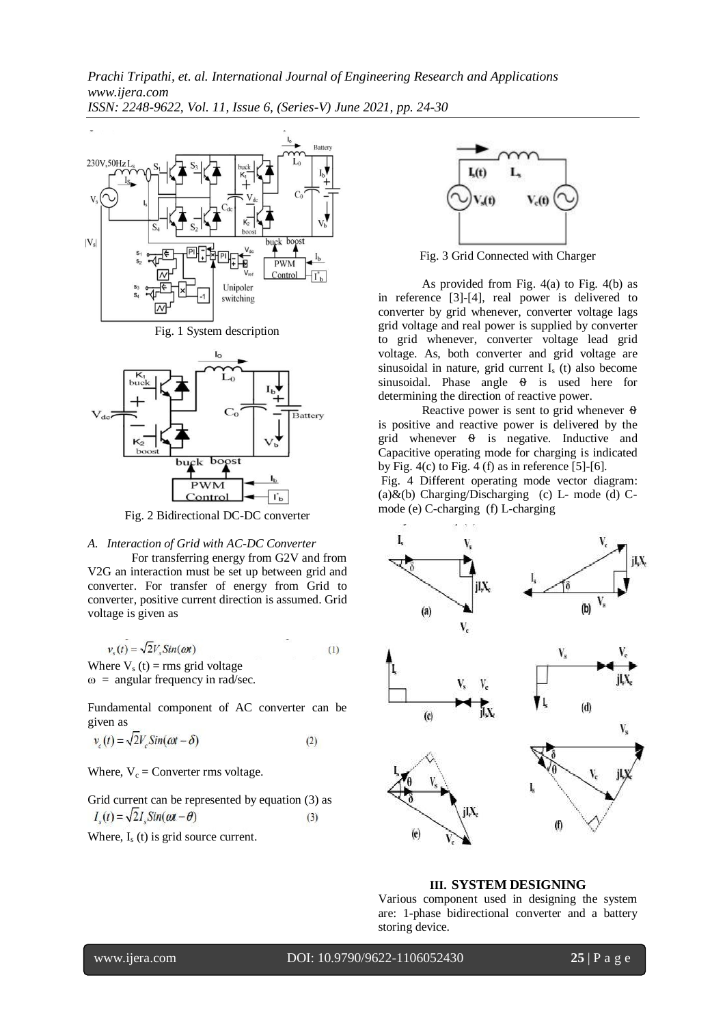





Fig. 2 Bidirectional DC-DC converter

#### *A. Interaction of Grid with AC-DC Converter*

For transferring energy from G2V and from V2G an interaction must be set up between grid and converter. For transfer of energy from Grid to converter, positive current direction is assumed. Grid voltage is given as

$$
v_s(t) = \sqrt{2}V_s \sin(\omega t) \tag{1}
$$

Where  $V_s(t) = rms$  grid voltage  $\omega$  = angular frequency in rad/sec.

Fundamental component of AC converter can be given as

$$
v_c(t) = \sqrt{2}V_c \sin(\omega t - \delta)
$$
 (2)

Where,  $V_c$  = Converter rms voltage.

Grid current can be represented by equation (3) as  $I_s(t) = \sqrt{2I_s \sin(\omega t - \theta)}$  $(3)$ 

Where,  $I_s(t)$  is grid source current.



Fig. 3 Grid Connected with Charger

As provided from Fig.  $4(a)$  to Fig.  $4(b)$  as in reference [3]-[4], real power is delivered to converter by grid whenever, converter voltage lags grid voltage and real power is supplied by converter to grid whenever, converter voltage lead grid voltage. As, both converter and grid voltage are sinusoidal in nature, grid current  $I_s$  (t) also become sinusoidal. Phase angle  $\theta$  is used here for determining the direction of reactive power.

Reactive power is sent to grid whenever  $\theta$ is positive and reactive power is delivered by the grid whenever  $\theta$  is negative. Inductive and Capacitive operating mode for charging is indicated by Fig.  $4(c)$  to Fig. 4 (f) as in reference [5]-[6].

Fig. 4 Different operating mode vector diagram: (a) $\&$ (b) Charging/Discharging (c) L- mode (d) Cmode (e) C-charging (f) L-charging



## **III. SYSTEM DESIGNING**

Various component used in designing the system are: 1-phase bidirectional converter and a battery storing device.

www.ijera.com DOI: 10.9790/9622-1106052430 **25** | P a g e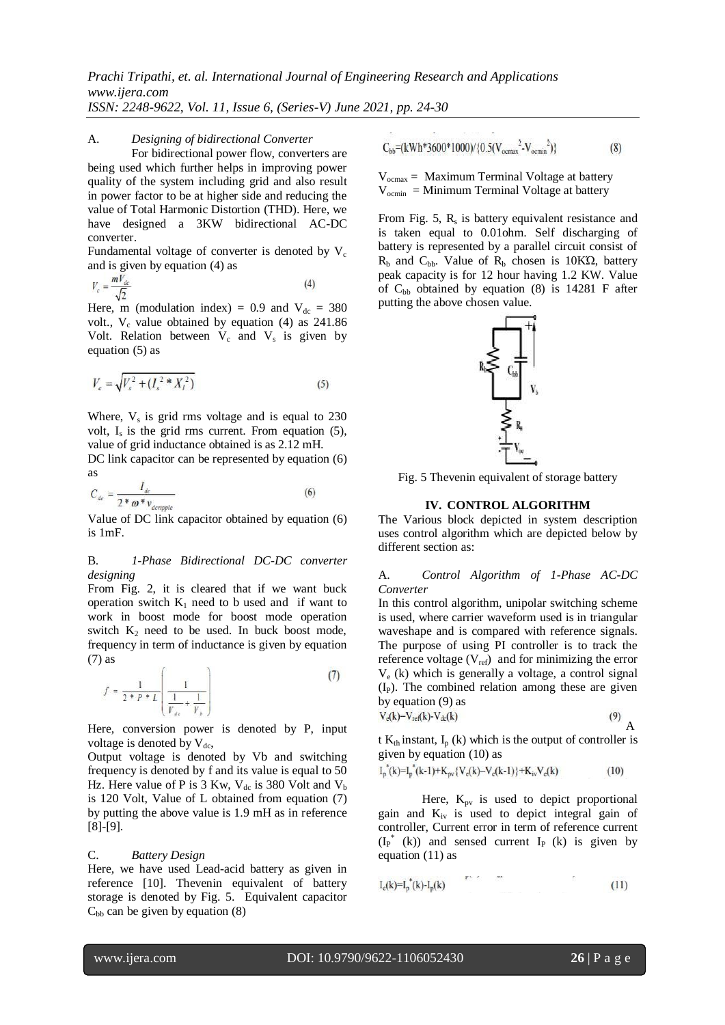#### A. *Designing of bidirectional Converter*

For bidirectional power flow, converters are being used which further helps in improving power quality of the system including grid and also result in power factor to be at higher side and reducing the value of Total Harmonic Distortion (THD). Here, we have designed a 3KW bidirectional AC-DC converter.

Fundamental voltage of converter is denoted by  $V_c$ and is given by equation (4) as

$$
V_c = \frac{mV_{dc}}{\sqrt{2}}\tag{4}
$$

Here, m (modulation index) = 0.9 and  $V_{dc}$  = 380 volt.,  $V_c$  value obtained by equation (4) as 241.86 Volt. Relation between  $V_c$  and  $V_s$  is given by equation (5) as

$$
V_c = \sqrt{V_s^2 + (I_s^2 * X_l^2)}
$$
 (5)

Where,  $V_s$  is grid rms voltage and is equal to  $230$ volt,  $I_s$  is the grid rms current. From equation  $(5)$ , value of grid inductance obtained is as 2.12 mH.

DC link capacitor can be represented by equation  $(6)$ as

$$
C_{dc} = \frac{I_{dc}}{2 * \omega * v_{deripple}} \tag{6}
$$

Value of DC link capacitor obtained by equation (6) is 1mF.

## B. *1-Phase Bidirectional DC-DC converter designing*

From Fig. 2, it is cleared that if we want buck operation switch  $K_1$  need to b used and if want to work in boost mode for boost mode operation switch  $K_2$  need to be used. In buck boost mode, frequency in term of inductance is given by equation (7) as

$$
f = \frac{1}{2 * P * L} \left( \frac{1}{\frac{1}{V_{de}} + \frac{1}{V_b}} \right)
$$
 (7)

Here, conversion power is denoted by P, input voltage is denoted by  $V_{dc}$ ,

Output voltage is denoted by Vb and switching frequency is denoted by f and its value is equal to 50 Hz. Here value of P is 3 Kw,  $V_{dc}$  is 380 Volt and  $V_{b}$ is 120 Volt, Value of L obtained from equation (7) by putting the above value is 1.9 mH as in reference [8]-[9].

#### C. *Battery Design*

Here, we have used Lead-acid battery as given in reference [10]. Thevenin equivalent of battery storage is denoted by Fig. 5. Equivalent capacitor  $C_{bb}$  can be given by equation (8)

$$
C_{bb} = (kWh*3600*1000)/\{0.5(V_{ocmax}^2 - V_{ocmin}^2)\}\tag{8}
$$

 $V_{\text{ocmax}} =$  Maximum Terminal Voltage at battery  $V_{\text{ocmin}} = \text{Minimum Terminal Voltage}$  at battery

From Fig. 5,  $R_s$  is battery equivalent resistance and is taken equal to 0.01ohm. Self discharging of battery is represented by a parallel circuit consist of  $R<sub>b</sub>$  and  $C<sub>bb</sub>$ . Value of  $R<sub>b</sub>$  chosen is 10KΩ, battery peak capacity is for 12 hour having 1.2 KW. Value of  $C_{bb}$  obtained by equation (8) is 14281 F after putting the above chosen value.



Fig. 5 Thevenin equivalent of storage battery

#### **IV. CONTROL ALGORITHM**

The Various block depicted in system description uses control algorithm which are depicted below by different section as:

A. *Control Algorithm of 1-Phase AC-DC Converter*

In this control algorithm, unipolar switching scheme is used, where carrier waveform used is in triangular waveshape and is compared with reference signals. The purpose of using PI controller is to track the reference voltage  $(V_{ref})$  and for minimizing the error  $V_e$  (k) which is generally a voltage, a control signal  $(I_P)$ . The combined relation among these are given by equation (9) as

$$
V_{\rm e}(k)=V_{\rm ref}(k)-V_{\rm dc}(k) \tag{9}
$$

t  $K_{th}$  instant,  $I_p$  (k) which is the output of controller is given by equation (10) as

$$
I_p^*(k) = I_p^*(k-1) + K_{pv} \{ V_e(k) - V_e(k-1) \} + K_{iv} V_e(k)
$$
\n(10)

Here,  $K_{pv}$  is used to depict proportional gain and  $K_{iv}$  is used to depict integral gain of controller, Current error in term of reference current  $(I_P^*(k))$  and sensed current  $I_P(k)$  is given by equation (11) as

$$
I_e(k) = I_p^*(k) - I_p(k)
$$
 (11)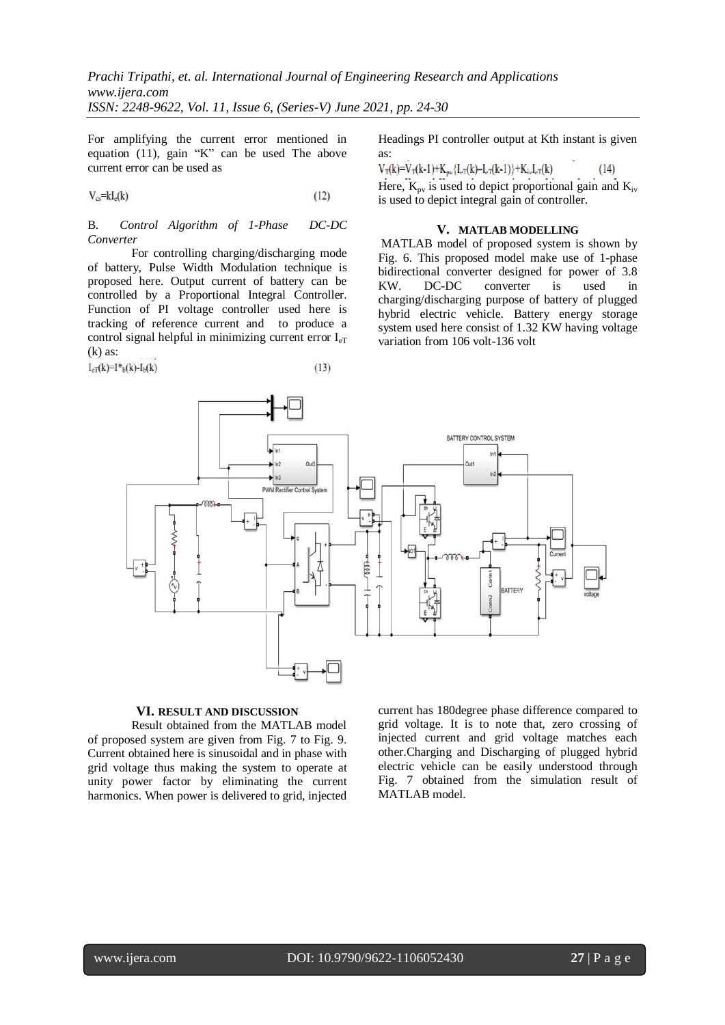For amplifying the current error mentioned in equation (11), gain "K" can be used The above current error can be used as

$$
V_{cs} = kl_c(k) \tag{12}
$$

B. *Control Algorithm of 1-Phase DC-DC Converter*

For controlling charging/discharging mode of battery, Pulse Width Modulation technique is proposed here. Output current of battery can be controlled by a Proportional Integral Controller. Function of PI voltage controller used here is tracking of reference current and to produce a control signal helpful in minimizing current error  $I_{eT}$  $(k)$  as:

$$
I_{\rm eT}(k)=I^*_{\rm b}(k)-I_{\rm b}(k)\tag{13}
$$

Headings PI controller output at Kth instant is given as:

 $V_T(k)=V_T(k-1)+K_{\text{av}}{I_{\text{eT}}(k)-I_{\text{eT}}(k-1)}+K_{\text{iv}}I_{\text{eT}}(k)$  $(14)$ 

Here,  $K_{pv}$  is used to depict proportional gain and  $K_{iv}$ is used to depict integral gain of controller.

## **V. MATLAB MODELLING**

MATLAB model of proposed system is shown by Fig. 6. This proposed model make use of 1-phase bidirectional converter designed for power of 3.8 KW. DC-DC converter is used in charging/discharging purpose of battery of plugged hybrid electric vehicle. Battery energy storage system used here consist of 1.32 KW having voltage variation from 106 volt-136 volt



# **VI. RESULT AND DISCUSSION**

Result obtained from the MATLAB model of proposed system are given from Fig. 7 to Fig. 9. Current obtained here is sinusoidal and in phase with grid voltage thus making the system to operate at unity power factor by eliminating the current harmonics. When power is delivered to grid, injected current has 180degree phase difference compared to grid voltage. It is to note that, zero crossing of injected current and grid voltage matches each other.Charging and Discharging of plugged hybrid electric vehicle can be easily understood through Fig. 7 obtained from the simulation result of MATLAB model.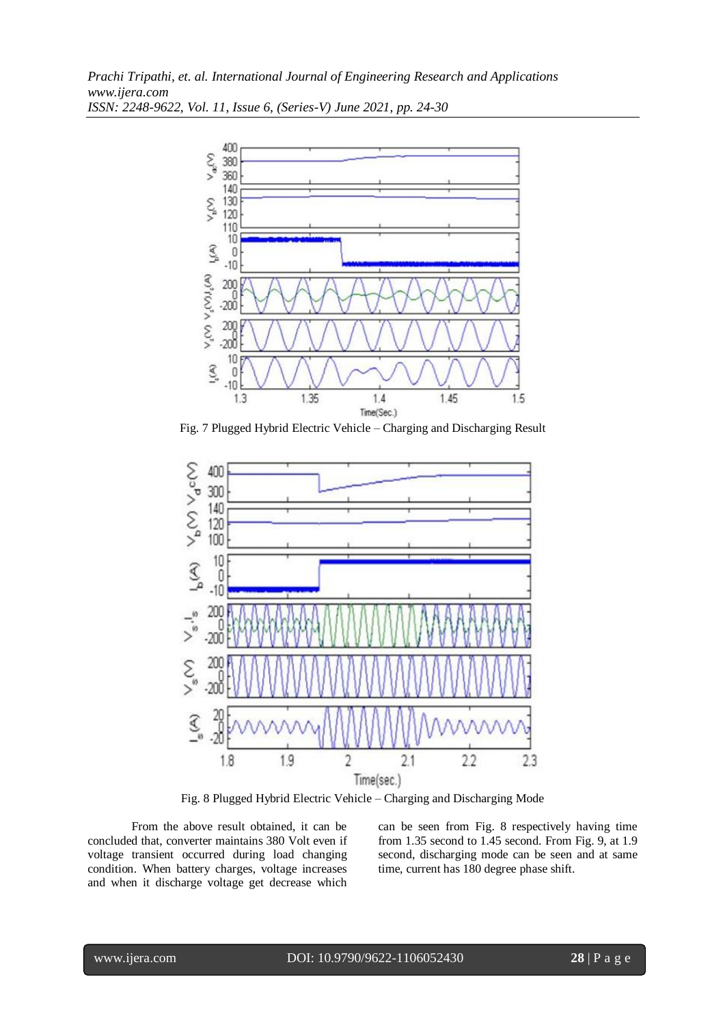

Fig. 7 Plugged Hybrid Electric Vehicle – Charging and Discharging Result



Fig. 8 Plugged Hybrid Electric Vehicle – Charging and Discharging Mode

From the above result obtained, it can be concluded that, converter maintains 380 Volt even if voltage transient occurred during load changing condition. When battery charges, voltage increases and when it discharge voltage get decrease which

can be seen from Fig. 8 respectively having time from 1.35 second to 1.45 second. From Fig. 9, at 1.9 second, discharging mode can be seen and at same time, current has 180 degree phase shift.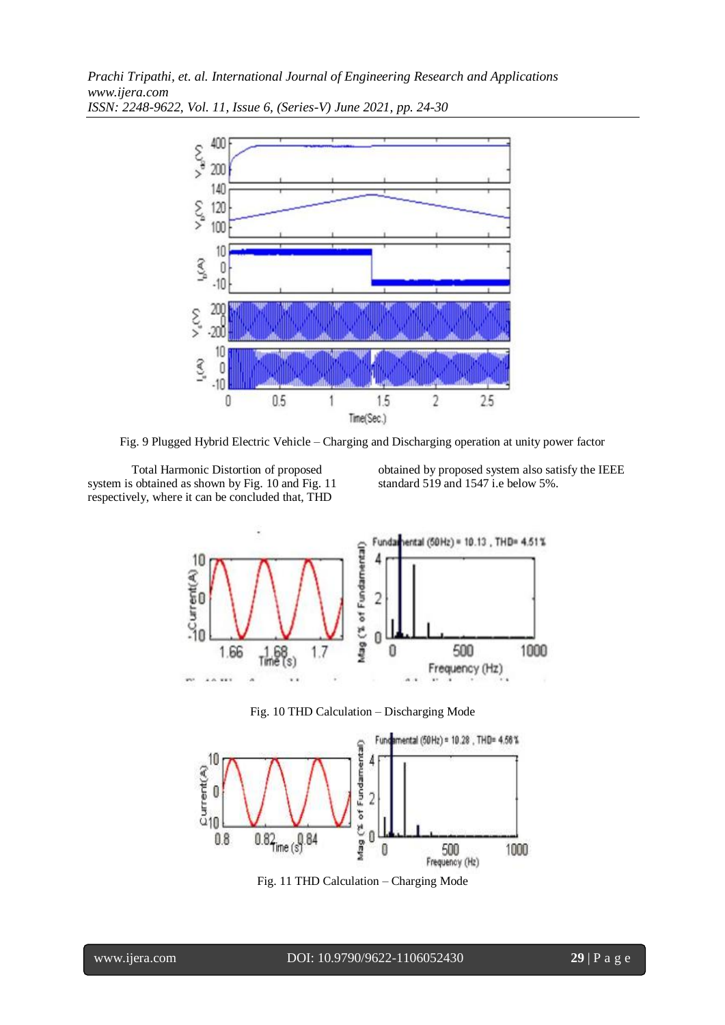

Fig. 9 Plugged Hybrid Electric Vehicle – Charging and Discharging operation at unity power factor

Total Harmonic Distortion of proposed system is obtained as shown by Fig. 10 and Fig. 11 respectively, where it can be concluded that, THD

obtained by proposed system also satisfy the IEEE standard 519 and 1547 i.e below 5%.







Fig. 11 THD Calculation – Charging Mode